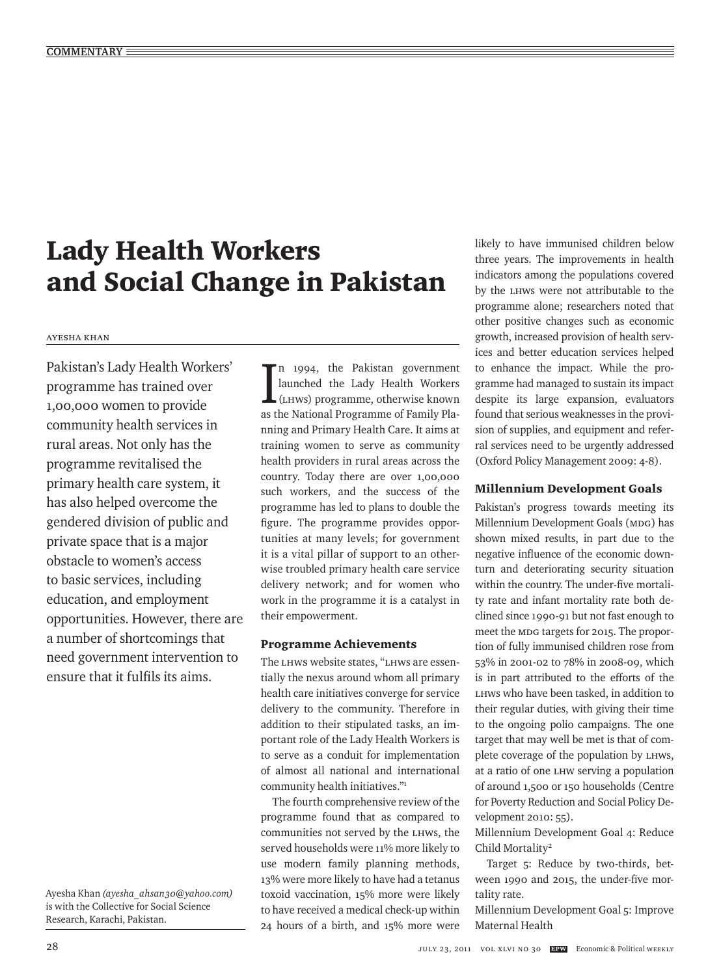# Lady Health Workers and Social Change in Pakistan

#### Ayesha Khan

Pakistan's Lady Health Workers' programme has trained over 1,00,000 women to provide community health services in rural areas. Not only has the programme revitalised the primary health care system, it has also helped overcome the gendered division of public and private space that is a major obstacle to women's access to basic services, including education, and employment opportunities. However, there are a number of shortcomings that need government intervention to ensure that it fulfils its aims.

 $\prod_{(L,HWS)}^{n}$  1994, the Pakistan government<br>launched the Lady Health Workers<br>(LHWs) programme, otherwise known n 1994, the Pakistan government launched the Lady Health Workers as the National Programme of Family Planning and Primary Health Care. It aims at training women to serve as community health providers in rural areas across the country. Today there are over 1,00,000 such workers, and the success of the programme has led to plans to double the figure. The programme provides opportunities at many levels; for government it is a vital pillar of support to an otherwise troubled primary health care service delivery network; and for women who work in the programme it is a catalyst in their empowerment.

### Programme Achievements

The LHWs website states, "LHWs are essentially the nexus around whom all primary health care initiatives converge for service delivery to the community. Therefore in addition to their stipulated tasks, an important role of the Lady Health Workers is to serve as a conduit for implementation of almost all national and international community health initiatives."1

The fourth comprehensive review of the programme found that as compared to communities not served by the LHWs, the served households were 11% more likely to use modern family planning methods, 13% were more likely to have had a tetanus toxoid vaccination, 15% more were likely to have received a medical check-up within 24 hours of a birth, and 15% more were

likely to have immunised children below three years. The improvements in health indicators among the populations covered by the LHWs were not attributable to the programme alone; researchers noted that other positive changes such as economic growth, increased provision of health services and better education services helped to enhance the impact. While the programme had managed to sustain its impact despite its large expansion, evaluators found that serious weaknesses in the provision of supplies, and equipment and referral services need to be urgently addressed (Oxford Policy Management 2009: 4-8).

### Millennium Development Goals

Pakistan's progress towards meeting its Millennium Development Goals (MDG) has shown mixed results, in part due to the negative influence of the economic downturn and deteriorating security situation within the country. The under-five mortality rate and infant mortality rate both declined since 1990-91 but not fast enough to meet the MDG targets for 2015. The proportion of fully immunised children rose from 53% in 2001-02 to 78% in 2008-09, which is in part attributed to the efforts of the LHWs who have been tasked, in addition to their regular duties, with giving their time to the ongoing polio campaigns. The one target that may well be met is that of complete coverage of the population by LHWs, at a ratio of one LHW serving a population of around 1,500 or 150 households (Centre for Poverty Reduction and Social Policy Development 2010: 55).

Millennium Development Goal 4: Reduce Child Mortality2

Target 5: Reduce by two-thirds, between 1990 and 2015, the under-five mortality rate.

Millennium Development Goal 5: Improve Maternal Health

Ayesha Khan *(ayesha\_ahsan30@yahoo.com)* is with the Collective for Social Science Research, Karachi, Pakistan.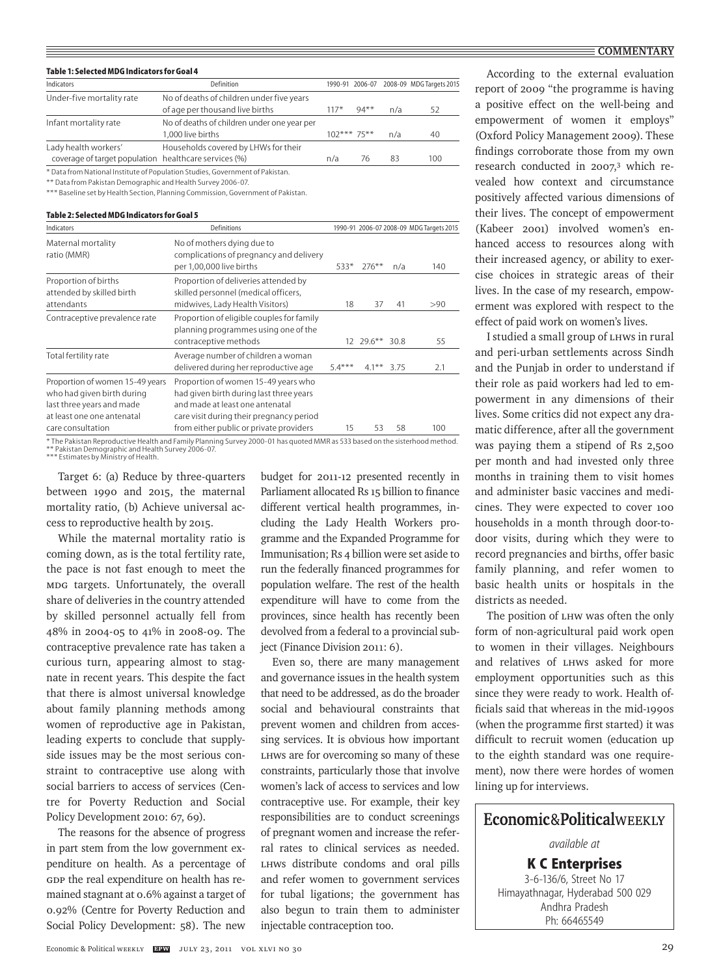#### **COMMENTARY**

| Table 1: Selected MDG Indicators for Goal 4           |                                                                               |               |                 |     |                          |  |  |
|-------------------------------------------------------|-------------------------------------------------------------------------------|---------------|-----------------|-----|--------------------------|--|--|
| Indicators                                            | Definition                                                                    |               | 1990-91 2006-07 |     | 2008-09 MDG Targets 2015 |  |  |
| Under-five mortality rate                             | No of deaths of children under five years                                     |               |                 |     |                          |  |  |
|                                                       | of age per thousand live births                                               | $117*$        | $94***$         | n/a | 52                       |  |  |
| Infant mortality rate                                 | No of deaths of children under one year per                                   |               |                 |     |                          |  |  |
|                                                       | 1.000 live births                                                             | $102***75***$ |                 | n/a | 40                       |  |  |
| Lady health workers'                                  | Households covered by LHWs for their                                          |               |                 |     |                          |  |  |
| coverage of target population healthcare services (%) |                                                                               | n/a           | 76              | 83  | 100                      |  |  |
|                                                       | * Data from National Institute of Population Studies, Government of Pakistan. |               |                 |     |                          |  |  |

\*\* Data from Pakistan Demographic and Health Survey 2006-07.

\*\*\* Baseline set by Health Section, Planning Commission, Government of Pakistan.

#### **Table 2: Selected MDG Indicators for Goal 5**

| Indicators                                                                                                                                    | Definitions                                                                                                                                                                                              | 1990-91 2006-07 2008-09 MDG Targets 2015 |                |     |     |
|-----------------------------------------------------------------------------------------------------------------------------------------------|----------------------------------------------------------------------------------------------------------------------------------------------------------------------------------------------------------|------------------------------------------|----------------|-----|-----|
| Maternal mortality<br>ratio (MMR)                                                                                                             | No of mothers dying due to<br>complications of pregnancy and delivery<br>per 1,00,000 live births                                                                                                        | 533*                                     | $276***$       | n/a | 140 |
| Proportion of births<br>attended by skilled birth<br>attendants                                                                               | Proportion of deliveries attended by<br>skilled personnel (medical officers,<br>midwives, Lady Health Visitors)                                                                                          | 18                                       | 37             | 41  | >90 |
| Contraceptive prevalence rate                                                                                                                 | Proportion of eligible couples for family<br>planning programmes using one of the<br>contraceptive methods                                                                                               |                                          | 12 29.6** 30.8 |     | 55  |
| Total fertility rate                                                                                                                          | Average number of children a woman<br>delivered during her reproductive age                                                                                                                              | $5.4***$                                 | $4.1***$ 3.75  |     | 2.1 |
| Proportion of women 15-49 years<br>who had given birth during<br>last three years and made<br>at least one one antenatal<br>care consultation | Proportion of women 15-49 years who<br>had given birth during last three years<br>and made at least one antenatal<br>care visit during their pregnancy period<br>from either public or private providers | 15                                       | 53             | 58  | 100 |

\* The Pakistan Reproductive Health and Family Planning Survey 2000-01 has quoted MMR as 533 based on the sisterhood method.<br>\*\*\* Pakistan Demographic and Health Survey 2006-07.<br>\*\*\* Estimates by Ministry of Health.

Target 6: (a) Reduce by three-quarters between 1990 and 2015, the maternal mortality ratio, (b) Achieve universal access to reproductive health by 2015.

While the maternal mortality ratio is coming down, as is the total fertility rate, the pace is not fast enough to meet the MDG targets. Unfortunately, the overall share of deliveries in the country attended by skilled personnel actually fell from 48% in 2004-05 to 41% in 2008-09. The contraceptive prevalence rate has taken a curious turn, appearing almost to stagnate in recent years. This despite the fact that there is almost universal knowledge about family planning methods among women of reproductive age in Pakistan, leading experts to conclude that supplyside issues may be the most serious constraint to contraceptive use along with social barriers to access of services (Centre for Poverty Reduction and Social Policy Development 2010: 67, 69).

The reasons for the absence of progress in part stem from the low government expenditure on health. As a percentage of GDP the real expenditure on health has remained stagnant at 0.6% against a target of 0.92% (Centre for Poverty Reduction and Social Policy Development: 58). The new

budget for 2011-12 presented recently in Parliament allocated Rs 15 billion to finance different vertical health programmes, including the Lady Health Workers programme and the Expanded Programme for Immunisation; Rs 4 billion were set aside to run the federally financed programmes for population welfare. The rest of the health expenditure will have to come from the provinces, since health has recently been devolved from a federal to a provincial subject (Finance Division 2011: 6).

Even so, there are many management and governance issues in the health system that need to be addressed, as do the broader social and behavioural constraints that prevent women and children from accessing services. It is obvious how important LHWs are for overcoming so many of these constraints, particularly those that involve women's lack of access to services and low contraceptive use. For example, their key responsibilities are to conduct screenings of pregnant women and increase the referral rates to clinical services as needed. LHWs distribute condoms and oral pills and refer women to government services for tubal ligations; the government has also begun to train them to administer injectable contraception too.

According to the external evaluation report of 2009 "the programme is having a positive effect on the well-being and empowerment of women it employs" (Oxford Policy Management 2009). These findings corroborate those from my own research conducted in 2007,<sup>3</sup> which revealed how context and circumstance positively affected various dimensions of their lives. The concept of empowerment (Kabeer 2001) involved women's enhanced access to resources along with their increased agency, or ability to exercise choices in strategic areas of their lives. In the case of my research, empowerment was explored with respect to the effect of paid work on women's lives.

I studied a small group of LHWs in rural and peri-urban settlements across Sindh and the Punjab in order to understand if their role as paid workers had led to empowerment in any dimensions of their lives. Some critics did not expect any dramatic difference, after all the government was paying them a stipend of Rs 2,500 per month and had invested only three months in training them to visit homes and administer basic vaccines and medicines. They were expected to cover 100 households in a month through door-todoor visits, during which they were to record pregnancies and births, offer basic family planning, and refer women to basic health units or hospitals in the districts as needed.

The position of LHW was often the only form of non-agricultural paid work open to women in their villages. Neighbours and relatives of LHWs asked for more employment opportunities such as this since they were ready to work. Health officials said that whereas in the mid-1990s (when the programme first started) it was difficult to recruit women (education up to the eighth standard was one requirement), now there were hordes of women lining up for interviews.

# Economic&PoliticalWEEKLY

*available at*

**K C Enterprises** 3-6-136/6, Street No 17 Himayathnagar, Hyderabad 500 029 Andhra Pradesh Ph: 66465549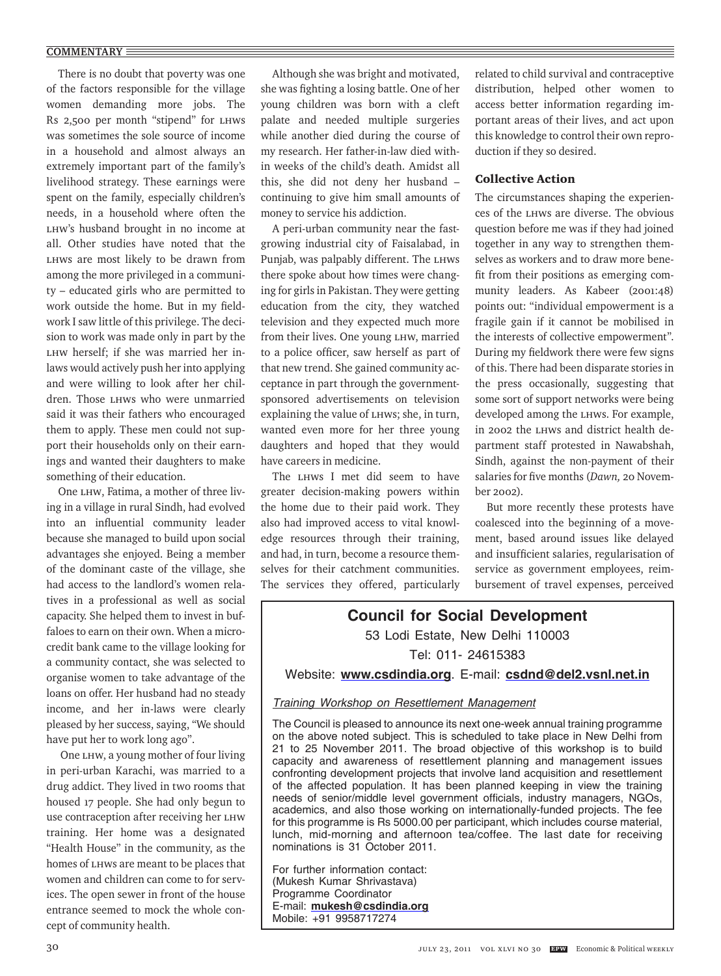#### **COMMENTARY**

There is no doubt that poverty was one of the factors responsible for the village women demanding more jobs. The Rs 2,500 per month "stipend" for LHWs was sometimes the sole source of income in a household and almost always an extremely important part of the family's livelihood strategy. These earnings were spent on the family, especially children's needs, in a household where often the LHW's husband brought in no income at all. Other studies have noted that the LHWs are most likely to be drawn from among the more privileged in a community – educated girls who are permitted to work outside the home. But in my fieldwork I saw little of this privilege. The decision to work was made only in part by the LHW herself; if she was married her inlaws would actively push her into applying and were willing to look after her children. Those LHWs who were unmarried said it was their fathers who encouraged them to apply. These men could not support their households only on their earnings and wanted their daughters to make something of their education.

One LHW, Fatima, a mother of three living in a village in rural Sindh, had evolved into an influential community leader because she managed to build upon social advantages she enjoyed. Being a member of the dominant caste of the village, she had access to the landlord's women relatives in a professional as well as social capacity. She helped them to invest in buffaloes to earn on their own. When a microcredit bank came to the village looking for a community contact, she was selected to organise women to take advantage of the loans on offer. Her husband had no steady income, and her in-laws were clearly pleased by her success, saying, "We should have put her to work long ago".

 One LHW, a young mother of four living in peri-urban Karachi, was married to a drug addict. They lived in two rooms that housed 17 people. She had only begun to use contraception after receiving her LHW training. Her home was a designated "Health House" in the community, as the homes of LHWs are meant to be places that women and children can come to for services. The open sewer in front of the house entrance seemed to mock the whole concept of community health.

Although she was bright and motivated, she was fighting a losing battle. One of her young children was born with a cleft palate and needed multiple surgeries while another died during the course of my research. Her father-in-law died within weeks of the child's death. Amidst all this, she did not deny her husband – continuing to give him small amounts of money to service his addiction.

A peri-urban community near the fastgrowing industrial city of Faisalabad, in Punjab, was palpably different. The LHWs there spoke about how times were changing for girls in Pakistan. They were getting education from the city, they watched television and they expected much more from their lives. One young LHW, married to a police officer, saw herself as part of that new trend. She gained community acceptance in part through the governmentsponsored advertisements on television explaining the value of LHWs; she, in turn, wanted even more for her three young daughters and hoped that they would have careers in medicine.

The LHWs I met did seem to have greater decision-making powers within the home due to their paid work. They also had improved access to vital knowledge resources through their training, and had, in turn, become a resource themselves for their catchment communities. The services they offered, particularly related to child survival and contraceptive distribution, helped other women to access better information regarding important areas of their lives, and act upon this knowledge to control their own reproduction if they so desired.

## Collective Action

The circumstances shaping the experiences of the LHWs are diverse. The obvious question before me was if they had joined together in any way to strengthen themselves as workers and to draw more benefit from their positions as emerging community leaders. As Kabeer (2001:48) points out: "individual empowerment is a fragile gain if it cannot be mobilised in the interests of collective empowerment". During my fieldwork there were few signs of this. There had been disparate stories in the press occasionally, suggesting that some sort of support networks were being developed among the LHWs. For example, in 2002 the LHWs and district health department staff protested in Nawabshah, Sindh, against the non-payment of their salaries for five months (*Dawn,* 20 November 2002).

But more recently these protests have coalesced into the beginning of a movement, based around issues like delayed and insufficient salaries, regularisation of service as government employees, reimbursement of travel expenses, perceived

# **Council for Social Development** 53 Lodi Estate, New Delhi 110003 Tel: 011- 24615383

Website: **www.csdindia.org**. E-mail: **csdnd@del2.vsnl.net.in**

# Training Workshop on Resettlement Management

The Council is pleased to announce its next one-week annual training programme on the above noted subject. This is scheduled to take place in New Delhi from 21 to 25 November 2011. The broad objective of this workshop is to build capacity and awareness of resettlement planning and management issues confronting development projects that involve land acquisition and resettlement of the affected population. It has been planned keeping in view the training needs of senior/middle level government officials, industry managers, NGOs, academics, and also those working on internationally-funded projects. The fee for this programme is Rs 5000.00 per participant, which includes course material, lunch, mid-morning and afternoon tea/coffee. The last date for receiving nominations is 31 October 2011.

For further information contact: (Mukesh Kumar Shrivastava) Programme Coordinator E-mail: **mukesh@csdindia.org** Mobile: +91 9958717274